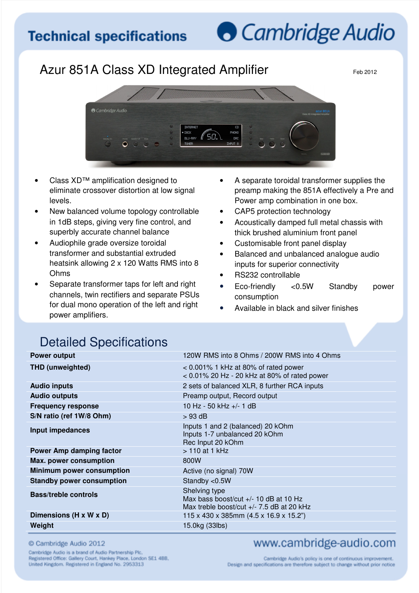## **O** Cambridge Audio

## Azur 851A Class XD Integrated Amplifier Feb 2012



- Class XD™ amplification designed to eliminate crossover distortion at low signal levels.
- New balanced volume topology controllable in 1dB steps, giving very fine control, and superbly accurate channel balance
- Audiophile grade oversize toroidal transformer and substantial extruded heatsink allowing 2 x 120 Watts RMS into 8 Ohms
- Separate transformer taps for left and right channels, twin rectifiers and separate PSUs for dual mono operation of the left and right power amplifiers.
- A separate toroidal transformer supplies the preamp making the 851A effectively a Pre and Power amp combination in one box.
- CAP5 protection technology
- Acoustically damped full metal chassis with thick brushed aluminium front panel
- Customisable front panel display
- Balanced and unbalanced analogue audio inputs for superior connectivity
- RS232 controllable
- Eco-friendly <0.5W Standby power consumption
- Available in black and silver finishes

## Detailed Specifications

| <b>Power output</b>              | 120W RMS into 8 Ohms / 200W RMS into 4 Ohms                                                           |
|----------------------------------|-------------------------------------------------------------------------------------------------------|
| <b>THD (unweighted)</b>          | $< 0.001\%$ 1 kHz at 80% of rated power<br>$< 0.01\%$ 20 Hz - 20 kHz at 80% of rated power            |
| <b>Audio inputs</b>              | 2 sets of balanced XLR, 8 further RCA inputs                                                          |
| <b>Audio outputs</b>             | Preamp output, Record output                                                                          |
| <b>Frequency response</b>        | 10 Hz - 50 kHz +/- 1 dB                                                                               |
| S/N ratio (ref 1W/8 Ohm)         | $>93$ dB                                                                                              |
| Input impedances                 | Inputs 1 and 2 (balanced) 20 kOhm<br>Inputs 1-7 unbalanced 20 kOhm<br>Rec Input 20 kOhm               |
| <b>Power Amp damping factor</b>  | $> 110$ at 1 kHz                                                                                      |
| <b>Max. power consumption</b>    | 800W                                                                                                  |
| <b>Minimum power consumption</b> | Active (no signal) 70W                                                                                |
| <b>Standby power consumption</b> | Standby <0.5W                                                                                         |
| <b>Bass/treble controls</b>      | Shelving type<br>Max bass boost/cut +/- 10 dB at 10 Hz<br>Max treble boost/cut $+/- 7.5$ dB at 20 kHz |
| Dimensions (H x W x D)           | 115 x 430 x 385mm (4.5 x 16.9 x 15.2")                                                                |
| Weight                           | 15.0kg (33lbs)                                                                                        |

© Cambridge Audio 2012

Cambridge Audio is a brand of Audio Partnership Plc, Registered Office: Gallery Court, Hankey Place, London SE1 4BB, United Kingdom. Registered in England No. 2953313

## www.cambridge-audio.com

Cambridge Audio's policy is one of continuous improvement. Design and specifications are therefore subject to change without prior notice